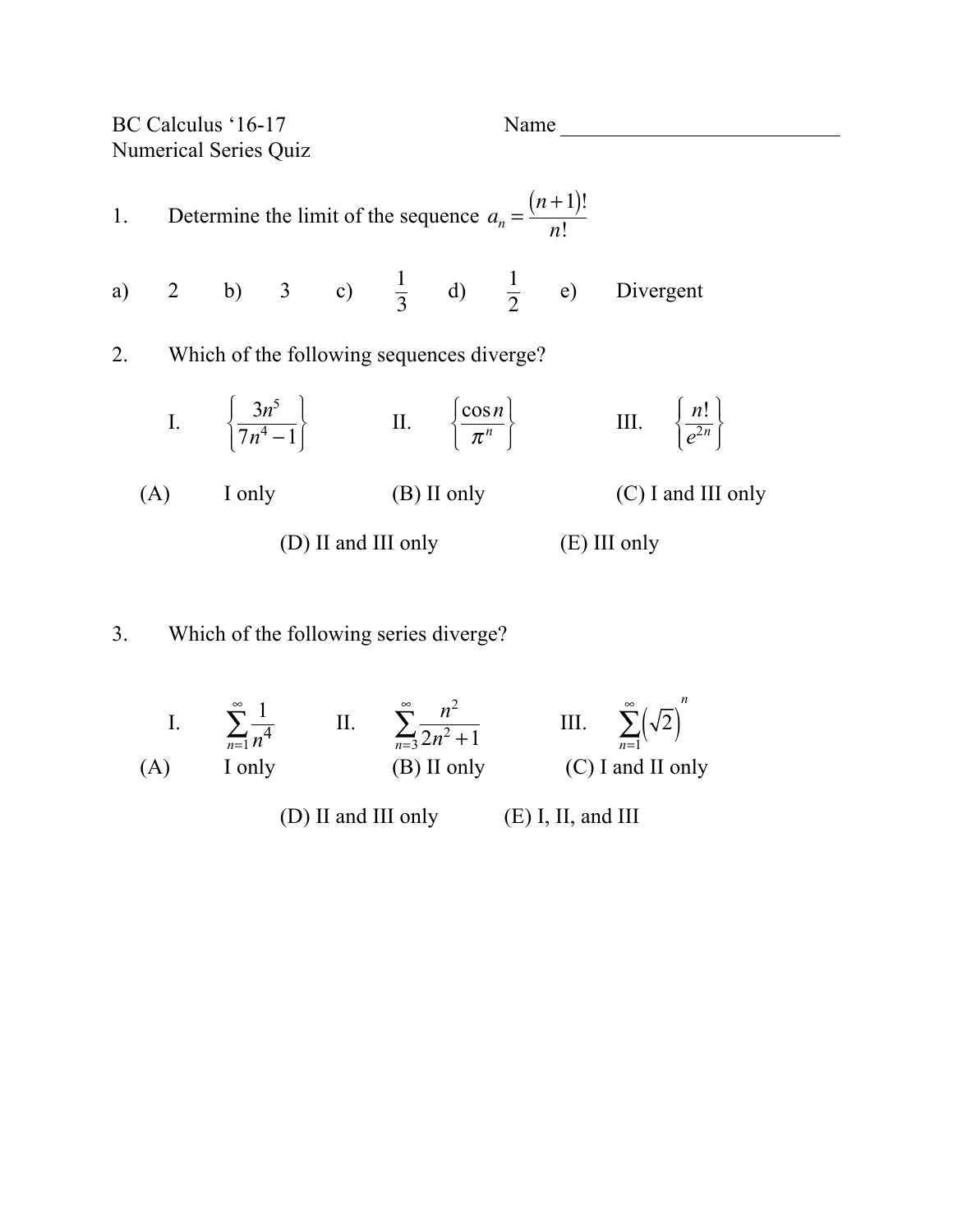BC Calculus '16-17 Name Numerical Series Quiz

1. Determine the limit of the sequence 
$$
a_n = \frac{(n+1)!}{n!}
$$
  
\na) 2 b) 3 c)  $\frac{1}{3}$  d)  $\frac{1}{2}$  e) Divergent  
\n2. Which of the following sequences diverge?  
\nI.  $\left\{\frac{3n^5}{7n^4-1}\right\}$  II.  $\left\{\frac{\cos n}{\pi^n}\right\}$  III.  $\left\{\frac{n!}{e^{2n}}\right\}$   
\n(A) I only (B) II only (C) I and III only  
\n(D) II and III only (E) III only

## 3. Which of the following series diverge?

I.  $\sum_{1}^{\infty} \frac{1}{2}$  $\sum_{n=1}$   $\overline{n^4}$  $\sum_{n=1}^{\infty} \frac{1}{n^4}$  II.  $\sum_{n=3}^{\infty} \frac{n^2}{2n^2 + 1}$ ∞  $\sum_{n=3}^{\infty} \frac{n}{2n^2+1}$  III.  $\sum_{n=1}^{\infty} (\sqrt{2})$  $\sum_{n=1}^{\infty}(\sqrt{2})^n$ (A) I only (B) II only (C) I and II only (D) II and III only (E) I, II, and III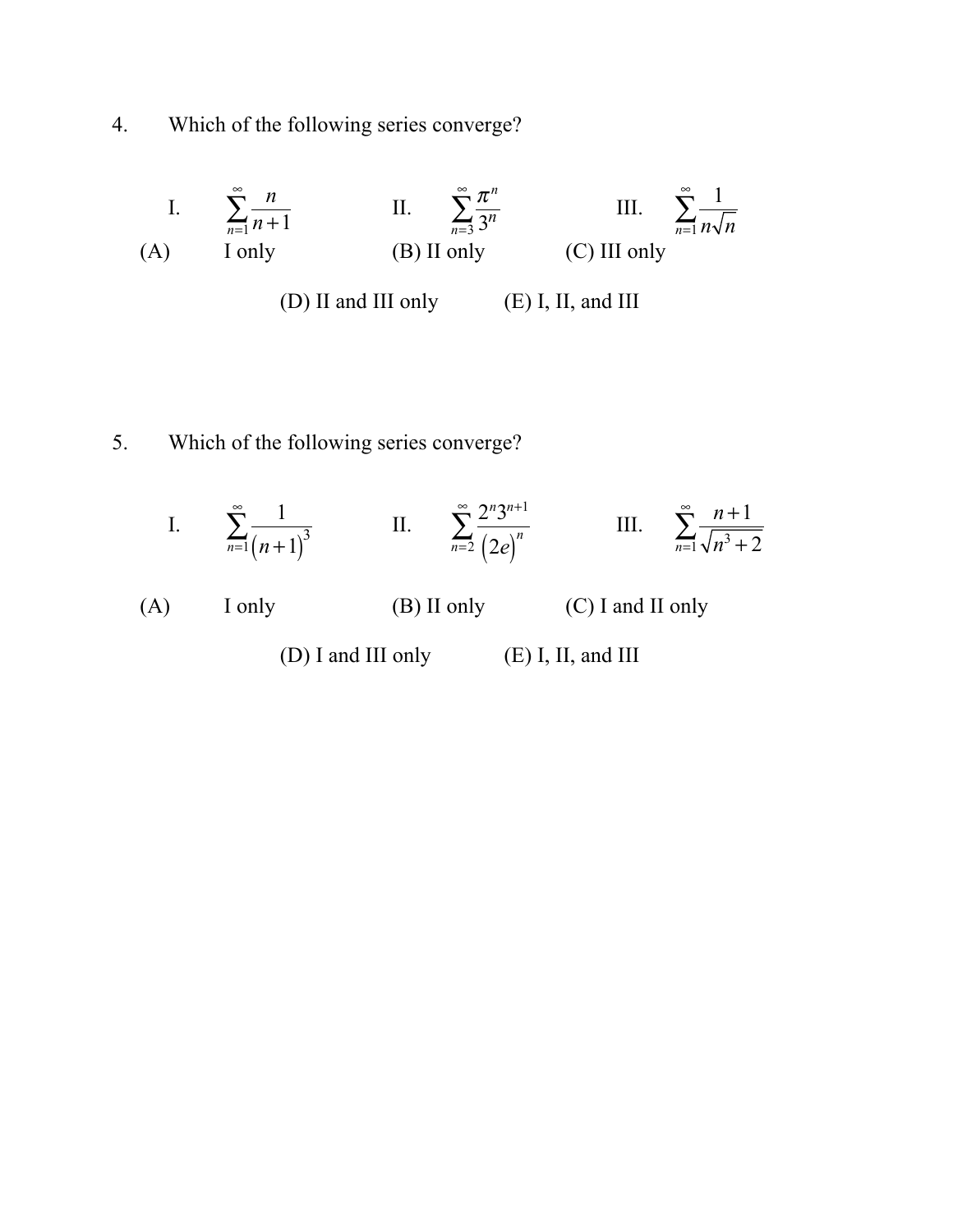4. Which of the following series converge?

I. 
$$
\sum_{n=1}^{\infty} \frac{n}{n+1}
$$
 II. 
$$
\sum_{n=3}^{\infty} \frac{\pi^n}{3^n}
$$
 III. 
$$
\sum_{n=1}^{\infty} \frac{1}{n\sqrt{n}}
$$
  
(A) I only (B) II only (C) III only (D) II and III only (E) I, II, and III

## 5. Which of the following series converge?

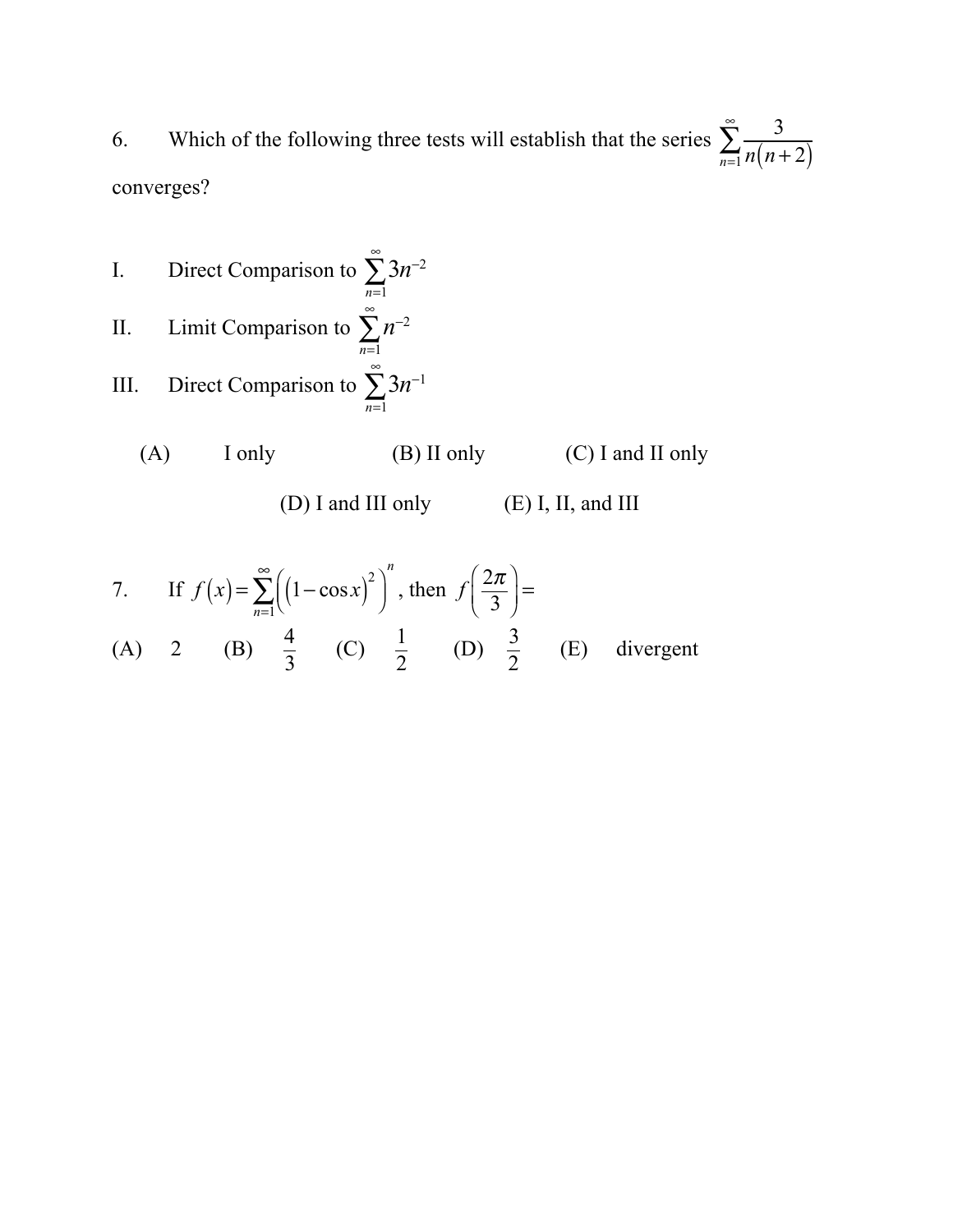6. Which of the following three tests will establish that the series  $\sum_{n=1}^{\infty} \frac{3}{n}$  $\sum_{n=1}^{\infty} n(n+2)$ ∞ ∑ converges?

I. Direct Comparison to  $\sum 3n^{-2}$ *n*=1 ∞ ∑ II. Limit Comparison to  $\sum n^{-2}$ *n*=1 ∞ ∑ III. Direct Comparison to  $\sum 3n^{-1}$ *n*=1 ∞ ∑

$$
(A) I only \t\t (B) II only
$$

(D) I and III only (E) I, II, and III

 $(C)$  I and II only

7. If 
$$
f(x) = \sum_{n=1}^{\infty} \left( (1 - \cos x)^2 \right)^n
$$
, then  $f\left( \frac{2\pi}{3} \right) =$   
\n(A) 2 (B)  $\frac{4}{3}$  (C)  $\frac{1}{2}$  (D)  $\frac{3}{2}$  (E) divergent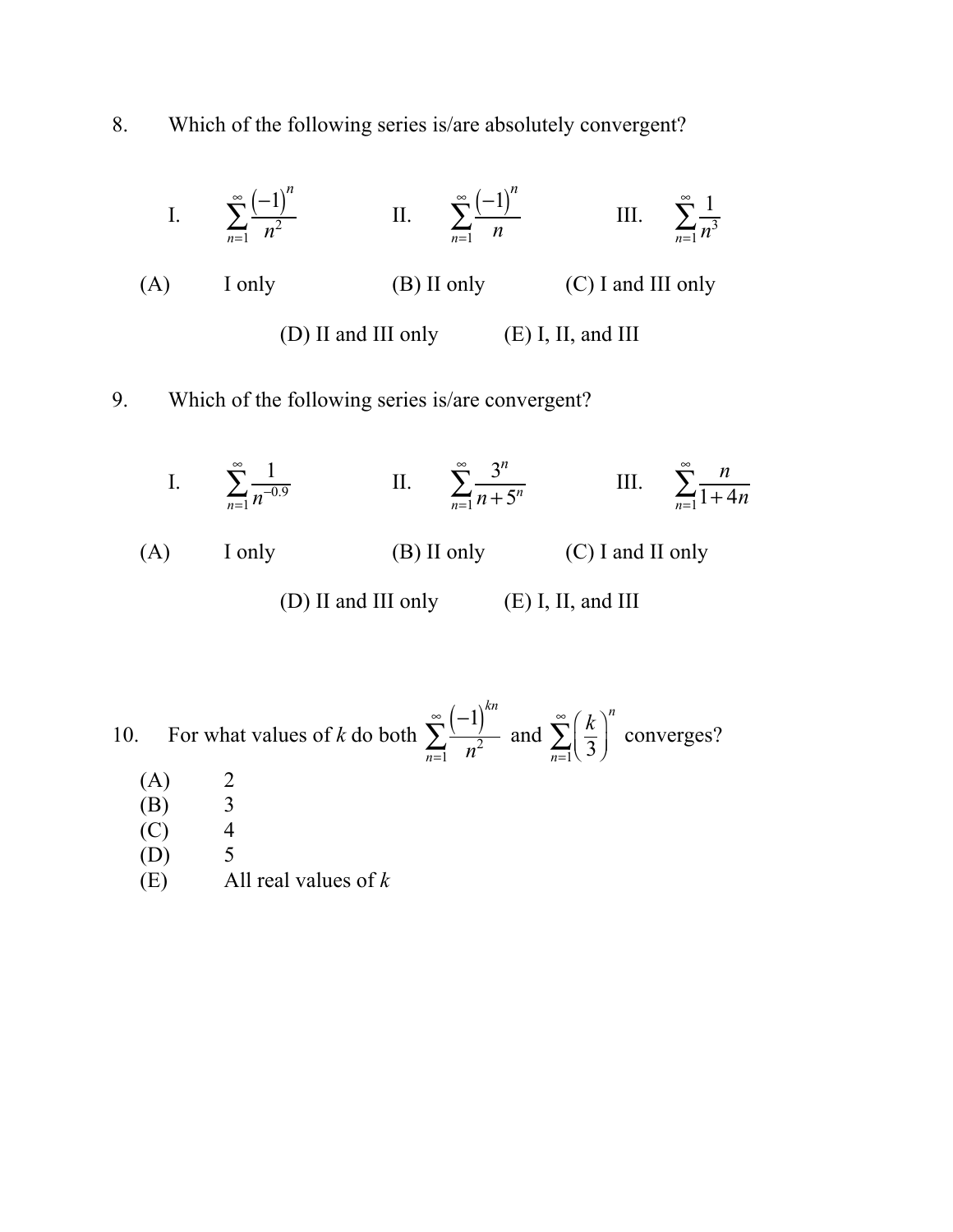8. Which of the following series is/are absolutely convergent?



(A) I only (B) II only (C) I and II only

(D) II and III only (E) I, II, and III

10. For what values of *k* do both  $\sum_{n=1}^{\infty} \frac{(-1)^{kn}}{2}$  $\sum_{n=1}$   $n^2$  $\sum_{n=1}^{\infty} \frac{(-1)^n}{n^2}$  and  $\sum_{n=1}^{\infty} \frac{k}{3}$  $\big($  $\overline{\mathcal{N}}$  $\overline{a}$  $\sum_{n=1}$  $\left(\overline{3}\right)$  $\sum_{n=1}^{\infty} \left(\frac{k}{3}\right)^n$  converges?

- $(A)$  2
- (B) 3
- $(C)$  4
- (D) 5
- (E) All real values of *k*